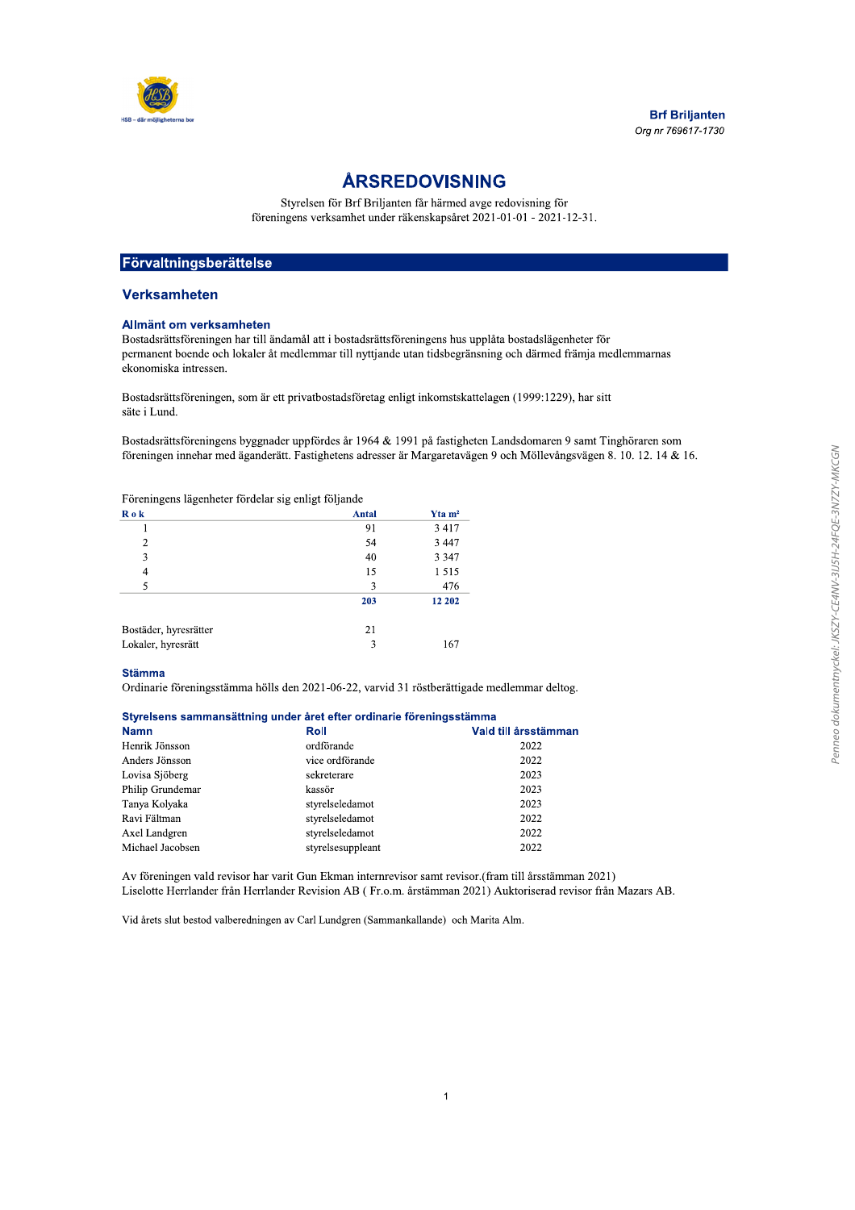

ARSREDOVISNING<br>
Styrelsen för Bri Briljanten får härmed avge redovisning för<br>
föreningens verksamhet under räkenskapsåret 2021-01-01 - 2021-12-31.<br>
Styrelsen ingensen kar till ändamål att i hostadsrättsföreningens hus unnl

# <u>Forvaltningsberattelse</u>

# **verksamneten**

### Allmant om verksamneten

| <b>Verksamheten</b>                                 |                                                                                                         |                       |                                                                                                                                                                                                                                       |
|-----------------------------------------------------|---------------------------------------------------------------------------------------------------------|-----------------------|---------------------------------------------------------------------------------------------------------------------------------------------------------------------------------------------------------------------------------------|
| Allmänt om verksamheten<br>ekonomiska intressen.    | Bostadsrättsföreningen har till ändamål att i bostadsrättsföreningens hus upplåta bostadslägenheter för |                       | permanent boende och lokaler åt medlemmar till nyttjande utan tidsbegränsning och därmed främja medlemmarnas                                                                                                                          |
| säte i Lund.                                        | Bostadsrättsföreningen, som är ett privatbostadsföretag enligt inkomstskattelagen (1999:1229), har sitt |                       |                                                                                                                                                                                                                                       |
|                                                     |                                                                                                         |                       | Bostadsrättsföreningens byggnader uppfördes år 1964 & 1991 på fastigheten Landsdomaren 9 samt Tinghöraren som<br>föreningen innehar med äganderätt. Fastighetens adresser är Margaretavägen 9 och Möllevångsvägen 8. 10. 12. 14 & 16. |
| Föreningens lägenheter fördelar sig enligt följande |                                                                                                         |                       |                                                                                                                                                                                                                                       |
| R o k                                               | Antal                                                                                                   | $Y$ ta m <sup>2</sup> |                                                                                                                                                                                                                                       |
| 1                                                   | 91                                                                                                      | 3 4 1 7               |                                                                                                                                                                                                                                       |
| $\overline{2}$                                      | 54                                                                                                      | 3 4 4 7               |                                                                                                                                                                                                                                       |
| 3                                                   | 40                                                                                                      | 3 3 4 7               |                                                                                                                                                                                                                                       |
| $\overline{4}$                                      | 15                                                                                                      | 1515                  |                                                                                                                                                                                                                                       |
|                                                     | 3                                                                                                       | 476                   |                                                                                                                                                                                                                                       |
| 5                                                   |                                                                                                         |                       |                                                                                                                                                                                                                                       |
|                                                     | 203                                                                                                     | 12 202                |                                                                                                                                                                                                                                       |
| Bostäder, hyresrätter                               | 21                                                                                                      |                       |                                                                                                                                                                                                                                       |
| Lokaler, hyresrätt                                  | 3                                                                                                       | 167                   |                                                                                                                                                                                                                                       |
| <b>Stämma</b>                                       |                                                                                                         |                       |                                                                                                                                                                                                                                       |
|                                                     | Ordinarie föreningsstämma hölls den 2021-06-22, varvid 31 röstberättigade medlemmar deltog.             |                       |                                                                                                                                                                                                                                       |
|                                                     |                                                                                                         |                       |                                                                                                                                                                                                                                       |
| <b>Namn</b>                                         | Styrelsens sammansättning under året efter ordinarie föreningsstämma<br><b>Roll</b>                     |                       | Vald till årsstämman                                                                                                                                                                                                                  |
| Henrik Jönsson                                      | ordförande                                                                                              |                       | 2022                                                                                                                                                                                                                                  |
| Anders Jönsson                                      | vice ordförande                                                                                         |                       | 2022                                                                                                                                                                                                                                  |
| Lovisa Sjöberg                                      | sekreterare                                                                                             |                       | 2023                                                                                                                                                                                                                                  |
| Philip Grundemar                                    | kassör                                                                                                  |                       | 2023                                                                                                                                                                                                                                  |

#### isens sammansattning under äret efter ordinarie foreningsstamma

| Henrik Jönsson<br>ordförande<br>2022<br>Anders Jönsson<br>vice ordförande<br>2022<br>2023<br>Lovisa Sjöberg<br>sekreterare<br>Philip Grundemar<br>kassör<br>2023<br>Tanya Kolyaka<br>styrelseledamot<br>2023<br>Ravi Fältman<br>styrelseledamot<br>2022<br>Axel Landgren<br>styrelseledamot<br>2022<br>Michael Jacobsen<br>styrelsesuppleant<br>2022<br>Av föreningen vald revisor har varit Gun Ekman internrevisor samt revisor. (fram till årsstämman 2021)<br>Liselotte Herrlander från Herrlander Revision AB (Fr.o.m. årstämman 2021) Auktoriserad revisor från Mazars AB. |  |  |
|----------------------------------------------------------------------------------------------------------------------------------------------------------------------------------------------------------------------------------------------------------------------------------------------------------------------------------------------------------------------------------------------------------------------------------------------------------------------------------------------------------------------------------------------------------------------------------|--|--|
|                                                                                                                                                                                                                                                                                                                                                                                                                                                                                                                                                                                  |  |  |
|                                                                                                                                                                                                                                                                                                                                                                                                                                                                                                                                                                                  |  |  |
|                                                                                                                                                                                                                                                                                                                                                                                                                                                                                                                                                                                  |  |  |
|                                                                                                                                                                                                                                                                                                                                                                                                                                                                                                                                                                                  |  |  |
|                                                                                                                                                                                                                                                                                                                                                                                                                                                                                                                                                                                  |  |  |
|                                                                                                                                                                                                                                                                                                                                                                                                                                                                                                                                                                                  |  |  |
|                                                                                                                                                                                                                                                                                                                                                                                                                                                                                                                                                                                  |  |  |
|                                                                                                                                                                                                                                                                                                                                                                                                                                                                                                                                                                                  |  |  |
| Vid årets slut bestod valberedningen av Carl Lundgren (Sammankallande) och Marita Alm.                                                                                                                                                                                                                                                                                                                                                                                                                                                                                           |  |  |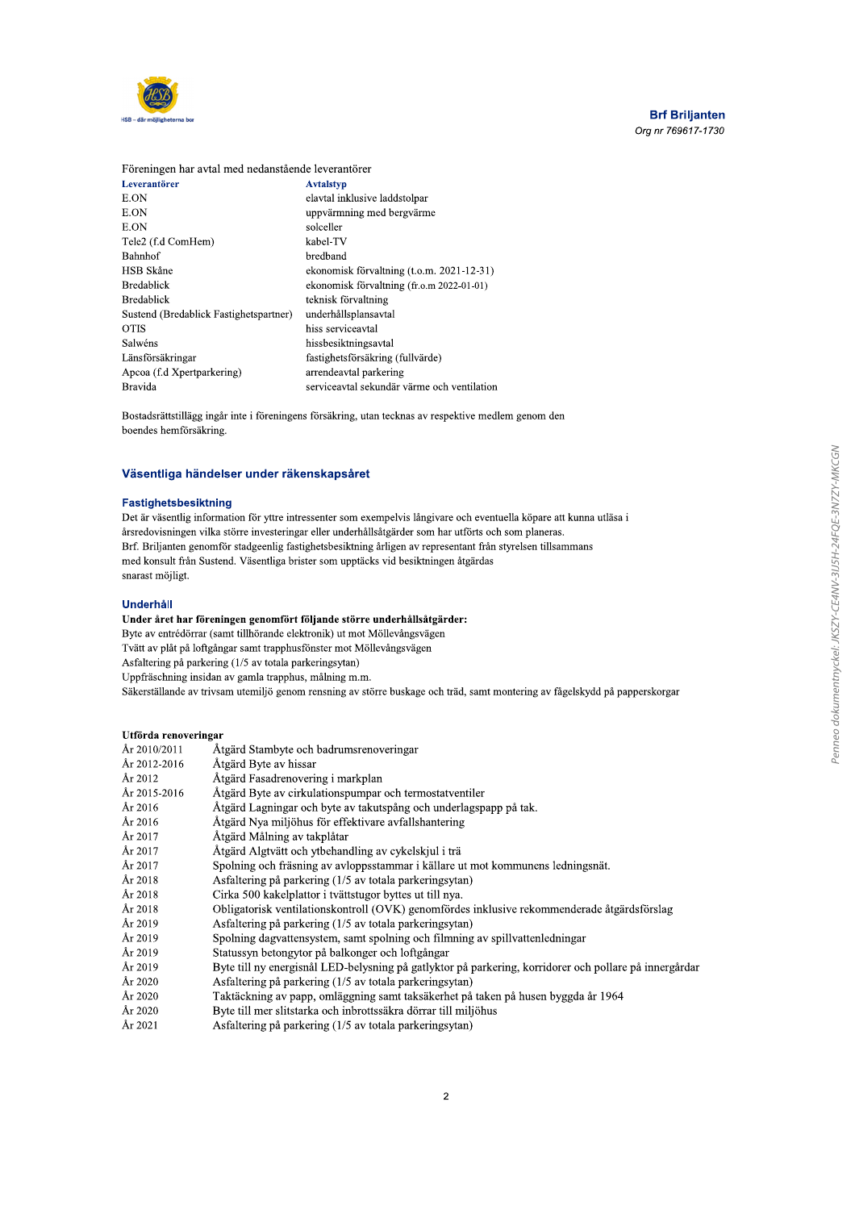

Föreningen har avtal med nedanstående leverantörer

| Leverantörer                           | <b>Avtalstyp</b>                            |
|----------------------------------------|---------------------------------------------|
| E.ON                                   | elavtal inklusive laddstolpar               |
| E.ON                                   | uppvärmning med bergvärme                   |
| E.ON                                   | solceller                                   |
| Tele2 (f.d ComHem)                     | kabel-TV                                    |
| Bahnhof                                | bredband                                    |
| HSB Skåne                              | ekonomisk förvaltning (t.o.m. 2021-12-31)   |
| <b>Bredablick</b>                      | ekonomisk förvaltning (fr.o.m 2022-01-01)   |
| <b>Bredablick</b>                      | teknisk förvaltning                         |
| Sustend (Bredablick Fastighetspartner) | underhållsplansavtal                        |
| <b>OTIS</b>                            | hiss serviceavtal                           |
| Salwéns                                | hissbesiktningsavtal                        |
| Länsförsäkringar                       | fastighetsförsäkring (fullvärde)            |
| Apcoa (f.d Xpertparkering)             | arrendeavtal parkering                      |
| Bravida                                | serviceavtal sekundär värme och ventilation |

Bostadsrättstillägg ingår inte i föreningens försäkring, utan tecknas av respektive medlem genom den boendes hemförsäkring.

#### Väsentliga händelser under räkenskapsåret

#### Fastighetsbesiktning

Det är väsentlig information för yttre intressenter som exempelvis långivare och eventuella köpare att kunna utläsa i årsredovisningen vilka större investeringar eller underhållsåtgärder som har utförts och som planeras. Brf. Briljanten genomför stadgeenlig fastighetsbesiktning årligen av representant från styrelsen tillsammans med konsult från Sustend. Väsentliga brister som upptäcks vid besiktningen åtgärdas snarast möjligt.

#### Underhåll

#### Under året har föreningen genomfört följande större underhållsåtgärder:

Byte av entrédörrar (samt tillhörande elektronik) ut mot Möllevångsvägen

Tvätt av plåt på loftgångar samt trapphusfönster mot Möllevångsvägen

Asfaltering på parkering (1/5 av totala parkeringsytan)

Uppfräschning insidan av gamla trapphus, målning m.m.

Säkerställande av trivsam utemiljö genom rensning av större buskage och träd, samt montering av fågelskydd på papperskorgar

#### Utförda renoveringar

| År 2010/2011 | Åtgärd Stambyte och badrumsrenoveringar                                                                |
|--------------|--------------------------------------------------------------------------------------------------------|
| År 2012-2016 | Åtgärd Byte av hissar                                                                                  |
| År 2012      | Åtgärd Fasadrenovering i markplan                                                                      |
| År 2015-2016 | Åtgärd Byte av cirkulationspumpar och termostatventiler                                                |
| År 2016      | Åtgärd Lagningar och byte av takutspång och underlagspapp på tak.                                      |
| År 2016      | Åtgärd Nya miljöhus för effektivare avfallshantering                                                   |
| År 2017      | Åtgärd Målning av takplåtar                                                                            |
| År 2017      | Åtgärd Algtvätt och ytbehandling av cykelskjul i trä                                                   |
| År 2017      | Spolning och fräsning av avloppsstammar i källare ut mot kommunens ledningsnät.                        |
| År 2018      | Asfaltering på parkering (1/5 av totala parkeringsytan)                                                |
| År 2018      | Cirka 500 kakelplattor i tvättstugor byttes ut till nya.                                               |
| År 2018      | Obligatorisk ventilationskontroll (OVK) genomfördes inklusive rekommenderade åtgärdsförslag            |
| År 2019      | Asfaltering på parkering (1/5 av totala parkeringsytan)                                                |
| År 2019      | Spolning dagvattensystem, samt spolning och filmning av spillvattenledningar                           |
| År 2019      | Statussyn betongytor på balkonger och loftgångar                                                       |
| År 2019      | Byte till ny energisnål LED-belysning på gatlyktor på parkering, korridorer och pollare på innergårdar |
| År 2020      | Asfaltering på parkering (1/5 av totala parkeringsytan)                                                |
| År 2020      | Taktäckning av papp, omläggning samt taksäkerhet på taken på husen byggda år 1964                      |
| År 2020      | Byte till mer slitstarka och inbrottssäkra dörrar till miljöhus                                        |
| År 2021      | Asfaltering på parkering (1/5 av totala parkeringsytan)                                                |
|              |                                                                                                        |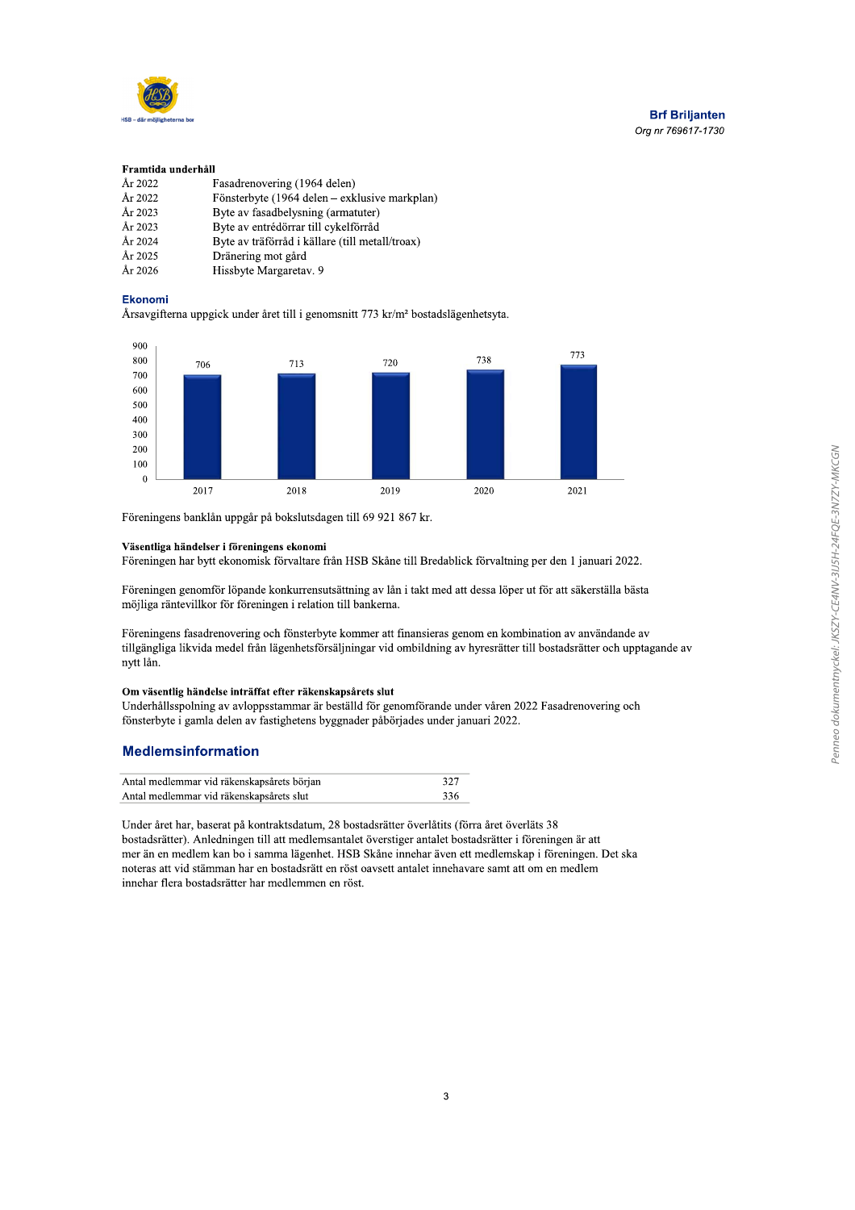

#### Framtida underhåll

| År 2022 | Fasadrenovering (1964 delen)                    |
|---------|-------------------------------------------------|
| År 2022 | Fönsterbyte (1964 delen – exklusive markplan)   |
| År 2023 | Byte av fasadbelysning (armatuter)              |
| År 2023 | Byte av entrédörrar till cykelförråd            |
| År 2024 | Byte av träförråd i källare (till metall/troax) |
| År 2025 | Dränering mot gård                              |
| År 2026 | Hissbyte Margaretay. 9                          |

#### **Ekonomi**

Årsavgifterna uppgick under året till i genomsnitt 773 kr/m<sup>2</sup> bostadslägenhetsyta.



Föreningens banklån uppgår på bokslutsdagen till 69 921 867 kr.

#### Väsentliga händelser i föreningens ekonomi

Föreningen har bytt ekonomisk förvaltare från HSB Skåne till Bredablick förvaltning per den 1 januari 2022.

Föreningen genomför löpande konkurrensutsättning av lån i takt med att dessa löper ut för att säkerställa bästa möjliga räntevillkor för föreningen i relation till bankerna.

Föreningens fasadrenovering och fönsterbyte kommer att finansieras genom en kombination av användande av tillgängliga likvida medel från lägenhetsförsäljningar vid ombildning av hyresrätter till bostadsrätter och upptagande av nytt lån.

#### Om väsentlig händelse inträffat efter räkenskapsårets slut

Underhållsspolning av avloppsstammar är beställd för genomförande under våren 2022 Fasadrenovering och fönsterbyte i gamla delen av fastighetens byggnader påbörjades under januari 2022.

#### **Medlemsinformation**

| Antal medlemmar vid räkenskapsårets början | 327 |
|--------------------------------------------|-----|
| Antal medlemmar vid räkenskapsårets slut   | 336 |

Under året har, baserat på kontraktsdatum, 28 bostadsrätter överlåtits (förra året överläts 38 bostadsrätter). Anledningen till att medlemsantalet överstiger antalet bostadsrätter i föreningen är att mer än en medlem kan bo i samma lägenhet. HSB Skåne innehar även ett medlemskap i föreningen. Det ska noteras att vid stämman har en bostadsrätt en röst oavsett antalet innehavare samt att om en medlem innehar flera bostadsrätter har medlemmen en röst.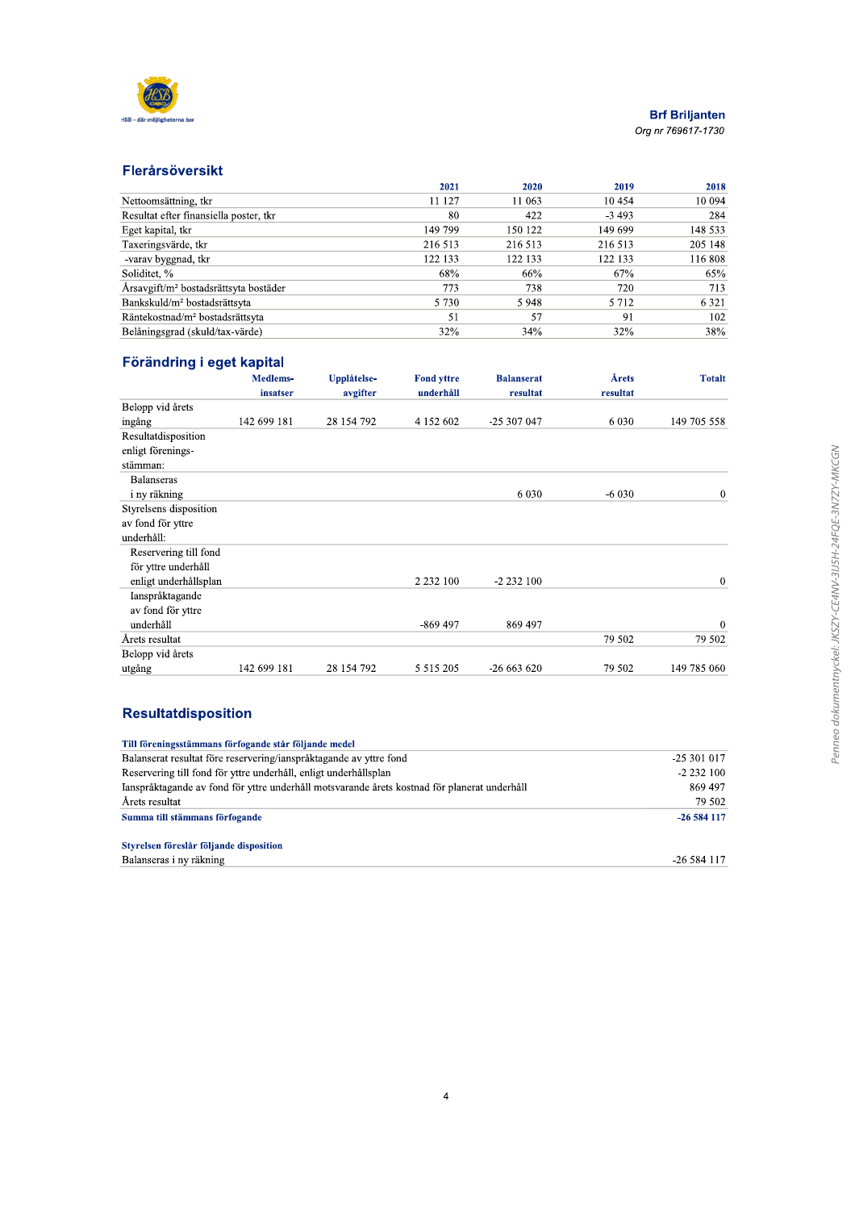

### Flerårsöversikt

|                                                   | 2021    | 2020    | 2019    | 2018    |
|---------------------------------------------------|---------|---------|---------|---------|
| Nettoomsättning, tkr                              | 11 127  | 11 063  | 10454   | 10 094  |
| Resultat efter finansiella poster, tkr            | 80      | 422     | $-3493$ | 284     |
| Eget kapital, tkr                                 | 149 799 | 150 122 | 149 699 | 148 533 |
| Taxeringsvärde, tkr                               | 216 513 | 216 513 | 216 513 | 205 148 |
| -varav byggnad, tkr                               | 122 133 | 122 133 | 122 133 | 116 808 |
| Soliditet, %                                      | 68%     | 66%     | 67%     | 65%     |
| Årsavgift/m <sup>2</sup> bostadsrättsyta bostäder | 773     | 738     | 720     | 713     |
| Bankskuld/m <sup>2</sup> bostadsrättsyta          | 5 7 3 0 | 5948    | 5 7 1 2 | 6 3 2 1 |
| Räntekostnad/m <sup>2</sup> bostadsrättsyta       | 51      | 57      | 91      | 102     |
| Belåningsgrad (skuld/tax-värde)                   | 32%     | 34%     | 32%     | 38%     |

# Förändring i eget kapital

|                        | Medlems-<br>insatser | Upplåtelse-<br>avgifter | <b>Fond yttre</b><br>underhåll | <b>Balanserat</b><br>resultat | Årets<br>resultat | <b>Totalt</b> |
|------------------------|----------------------|-------------------------|--------------------------------|-------------------------------|-------------------|---------------|
| Belopp vid årets       |                      |                         |                                |                               |                   |               |
| ingång                 | 142 699 181          | 28 154 792              | 4 152 602                      | -25 307 047                   | 6 0 3 0           | 149 705 558   |
| Resultatdisposition    |                      |                         |                                |                               |                   |               |
| enligt förenings-      |                      |                         |                                |                               |                   |               |
| stämman:               |                      |                         |                                |                               |                   |               |
| <b>Balanseras</b>      |                      |                         |                                |                               |                   |               |
| i ny räkning           |                      |                         |                                | 6 0 3 0                       | $-6030$           | $\mathbf 0$   |
| Styrelsens disposition |                      |                         |                                |                               |                   |               |
| av fond för yttre      |                      |                         |                                |                               |                   |               |
| underhåll:             |                      |                         |                                |                               |                   |               |
| Reservering till fond  |                      |                         |                                |                               |                   |               |
| för yttre underhåll    |                      |                         |                                |                               |                   |               |
| enligt underhållsplan  |                      |                         | 2 2 3 2 1 0 0                  | $-2232100$                    |                   | $\mathbf{0}$  |
| Ianspråktagande        |                      |                         |                                |                               |                   |               |
| av fond för yttre      |                      |                         |                                |                               |                   |               |
| underhåll              |                      |                         | $-869497$                      | 869 497                       |                   | $\mathbf{0}$  |
| Årets resultat         |                      |                         |                                |                               | 79 502            | 79 502        |
| Belopp vid årets       |                      |                         |                                |                               |                   |               |
| utgång                 | 142 699 181          | 28 154 792              | 5 5 1 5 2 0 5                  | $-26663620$                   | 79 502            | 149 785 060   |

# **Resultatdisposition**

| Till föreningsstämmans förfogande står följande medel                                        |             |
|----------------------------------------------------------------------------------------------|-------------|
| Balanserat resultat före reservering/janspråktagande av yttre fond                           | $-25301017$ |
| Reservering till fond för yttre underhåll, enligt underhållsplan                             | $-2232100$  |
| Ianspråktagande av fond för yttre underhåll motsvarande årets kostnad för planerat underhåll | 869 497     |
| Årets resultat                                                                               | 79 502      |
| Summa till stämmans förfogande                                                               | $-26584117$ |
| Styrelsen föreslår följande disposition                                                      |             |
| Balanseras i ny räkning                                                                      | -26 584 117 |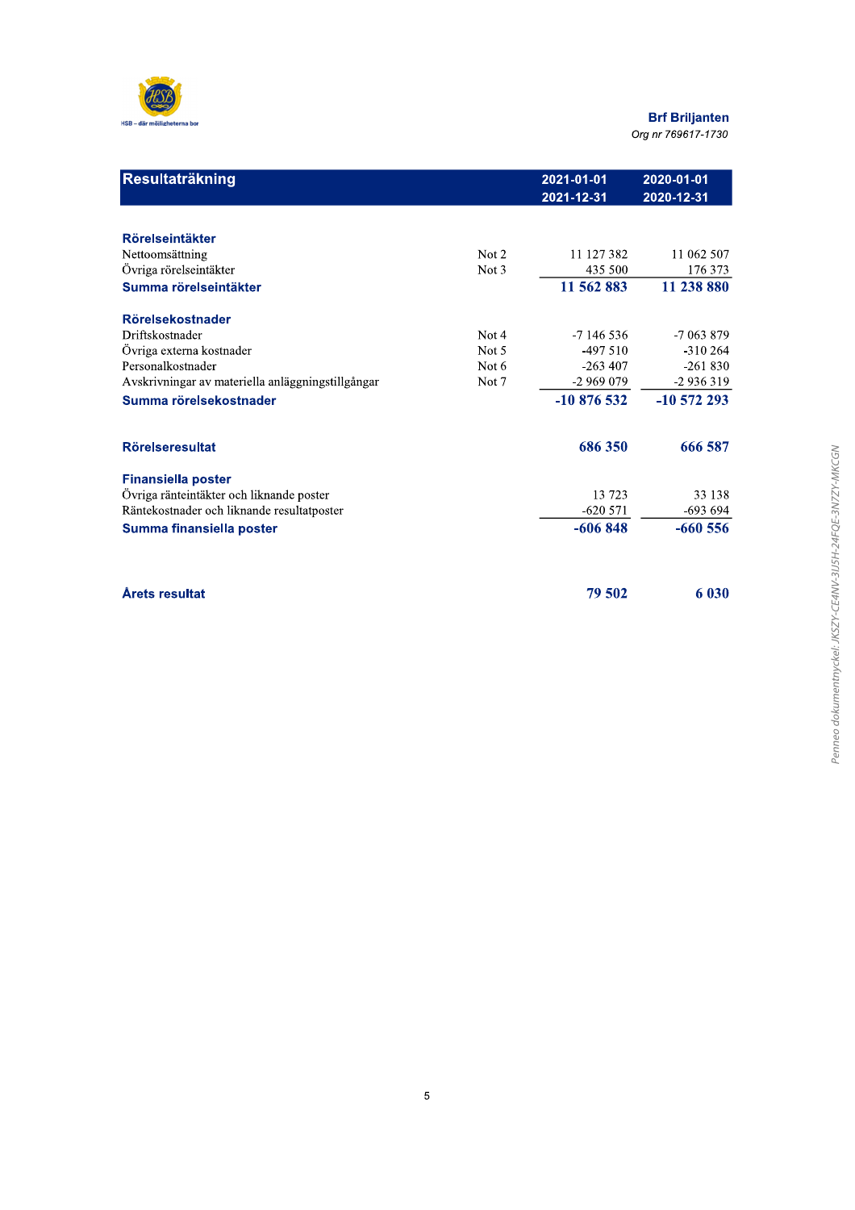

# вгт **Briljanten**

| Resultaträkning                                   |         | 2021-01-01<br>2021-12-31 | 2020-01-01<br>2020-12-31 |
|---------------------------------------------------|---------|--------------------------|--------------------------|
| Rörelseintäkter                                   |         |                          |                          |
| Nettoomsättning                                   | Not 2   | 11 127 382               | 11 062 507               |
| Övriga rörelseintäkter                            | Not 3   | 435 500                  | 176 373                  |
| Summa rörelseintäkter                             |         | 11 562 883               | 11 238 880               |
| Rörelsekostnader                                  |         |                          |                          |
| Driftskostnader                                   | Not 4   | $-7146536$               | $-7063879$               |
| Övriga externa kostnader                          | Not 5   | $-497510$                | $-310264$                |
| Personalkostnader                                 | Not $6$ | $-263407$                | $-261830$                |
| Avskrivningar av materiella anläggningstillgångar | Not 7   | $-2969079$               | $-2936319$               |
| Summa rörelsekostnader                            |         | $-10876532$              | $-10572293$              |
| <b>Rörelseresultat</b>                            |         | 686 350                  | 666 587                  |
| <b>Finansiella poster</b>                         |         |                          |                          |
| Övriga ränteintäkter och liknande poster          |         | 13723                    | 33 138                   |
| Räntekostnader och liknande resultatposter        |         | $-620571$                | $-693694$                |
| Summa finansiella poster                          |         | $-606848$                | $-660556$                |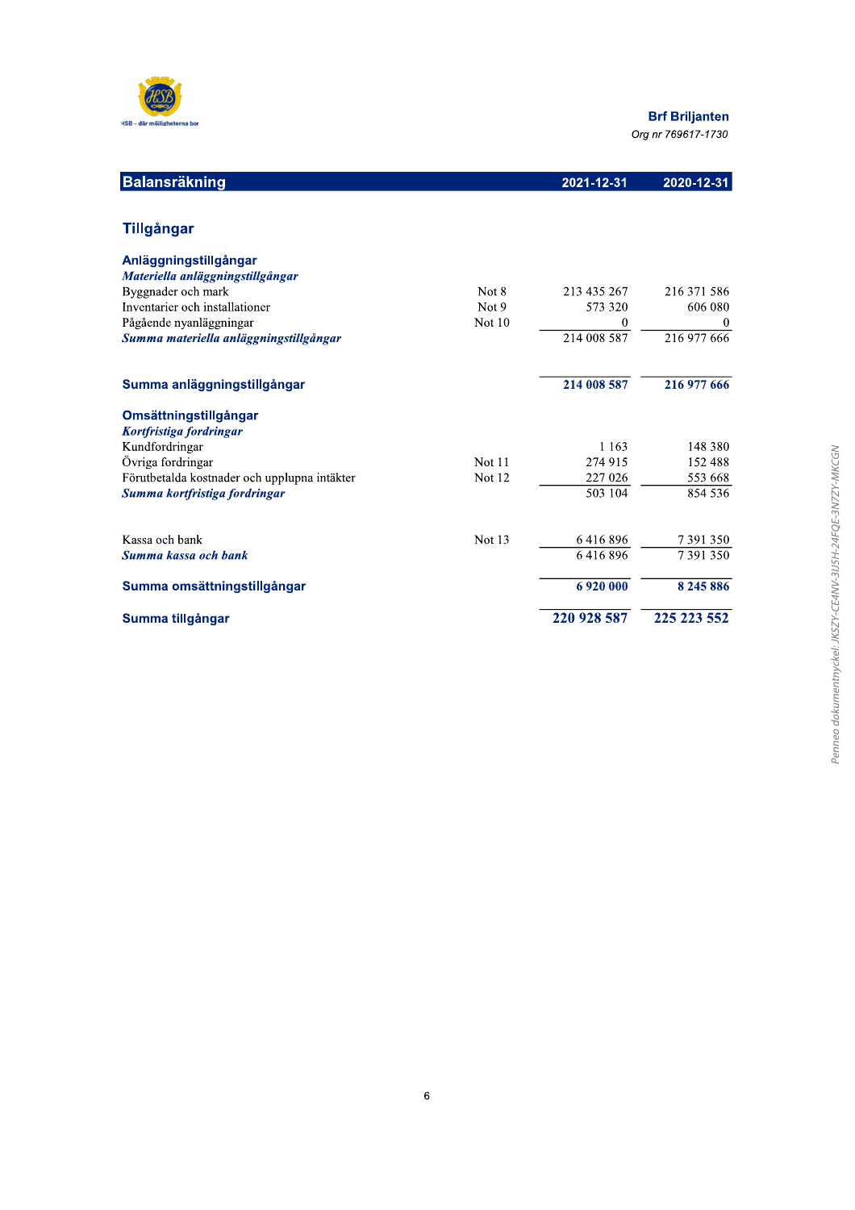

# вп **Briljanten**

Org nr 769617-1730

| <b>Balansräkning</b>                                 |                   | 2021-12-31              | 2020-12-31          |
|------------------------------------------------------|-------------------|-------------------------|---------------------|
| <b>Tillgångar</b>                                    |                   |                         |                     |
| Anläggningstillgångar                                |                   |                         |                     |
| Materiella anläggningstillgångar                     |                   |                         |                     |
| Byggnader och mark<br>Inventarier och installationer | Not 8             | 213 435 267             | 216 371 586         |
| Pågående nyanläggningar                              | Not 9<br>Not $10$ | 573 320<br>$\mathbf{0}$ | 606 080<br>$\bf{0}$ |
| Summa materiella anläggningstillgångar               |                   | 214 008 587             | 216 977 666         |
| Summa anläggningstillgångar                          |                   | 214 008 587             | 216 977 666         |
| Omsättningstillgångar                                |                   |                         |                     |
| Kortfristiga fordringar                              |                   |                         |                     |
| Kundfordringar                                       |                   | 1 1 6 3                 | 148 380             |
| Övriga fordringar                                    | Not 11            | 274 915                 | 152 488             |
| Förutbetalda kostnader och upplupna intäkter         | Not 12            | 227 026                 | 553 668             |
| Summa kortfristiga fordringar                        |                   | 503 104                 | 854 536             |
| Kassa och bank                                       | Not 13            | 6416896                 | 7391350             |
| Summa kassa och bank                                 |                   | 6416896                 | 7391350             |
| Summa omsättningstillgångar                          |                   | 6920000                 | 8 2 4 5 8 8 6       |
| Summa tillgångar                                     |                   | 220 928 587             | 225 223 552         |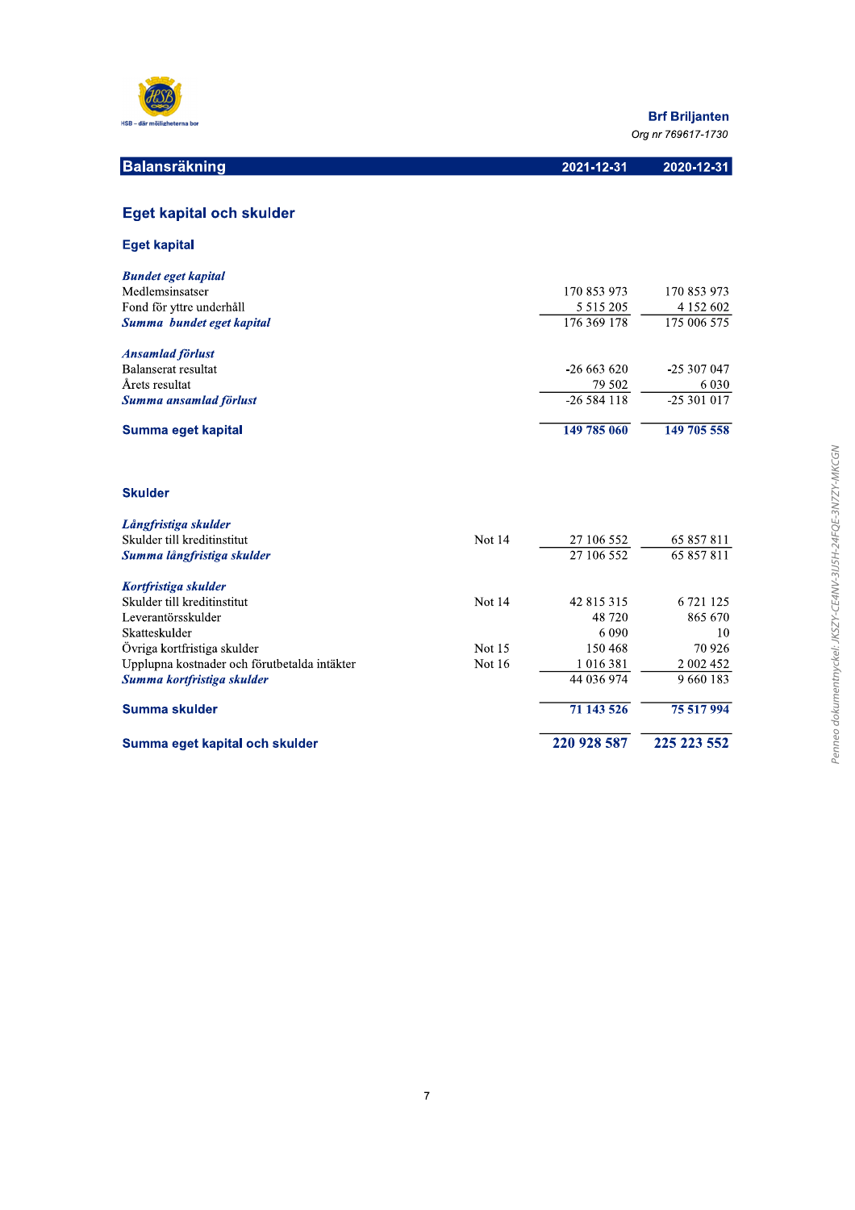

Summa eget kapital och skulder

**Brf Briljanten** 

Org nr 769617-1730

220 928 587

225 223 552

| <b>Balansräkning</b>                         |        | 2021-12-31    | 2020-12-31  |
|----------------------------------------------|--------|---------------|-------------|
|                                              |        |               |             |
| Eget kapital och skulder                     |        |               |             |
| <b>Eget kapital</b>                          |        |               |             |
| <b>Bundet eget kapital</b>                   |        |               |             |
| Medlemsinsatser                              |        | 170 853 973   | 170 853 973 |
| Fond för yttre underhåll                     |        | 5 5 1 5 2 0 5 | 4 152 602   |
| Summa bundet eget kapital                    |        | 176 369 178   | 175 006 575 |
| <b>Ansamlad förlust</b>                      |        |               |             |
| Balanserat resultat                          |        | $-26663620$   | -25 307 047 |
| Årets resultat                               |        | 79 502        | 6 0 3 0     |
| Summa ansamlad förlust                       |        | $-26584118$   | $-25301017$ |
| Summa eget kapital                           |        | 149 785 060   | 149 705 558 |
| <b>Skulder</b>                               |        |               |             |
| Långfristiga skulder                         |        |               |             |
| Skulder till kreditinstitut                  | Not 14 | 27 106 552    | 65 857 811  |
| Summa långfristiga skulder                   |        | 27 106 552    | 65 857 811  |
| Kortfristiga skulder                         |        |               |             |
| Skulder till kreditinstitut                  | Not 14 | 42 815 315    | 6 721 125   |
| Leverantörsskulder                           |        | 48720         | 865 670     |
| Skatteskulder                                |        | 6 0 9 0       | 10          |
| Övriga kortfristiga skulder                  | Not 15 | 150 468       | 70 9 26     |
| Upplupna kostnader och förutbetalda intäkter | Not 16 | 1 0 1 6 3 8 1 | 2 002 452   |
| Summa kortfristiga skulder                   |        | 44 036 974    | 9 660 183   |
| Summa skulder                                |        | 71 143 526    | 75 517 994  |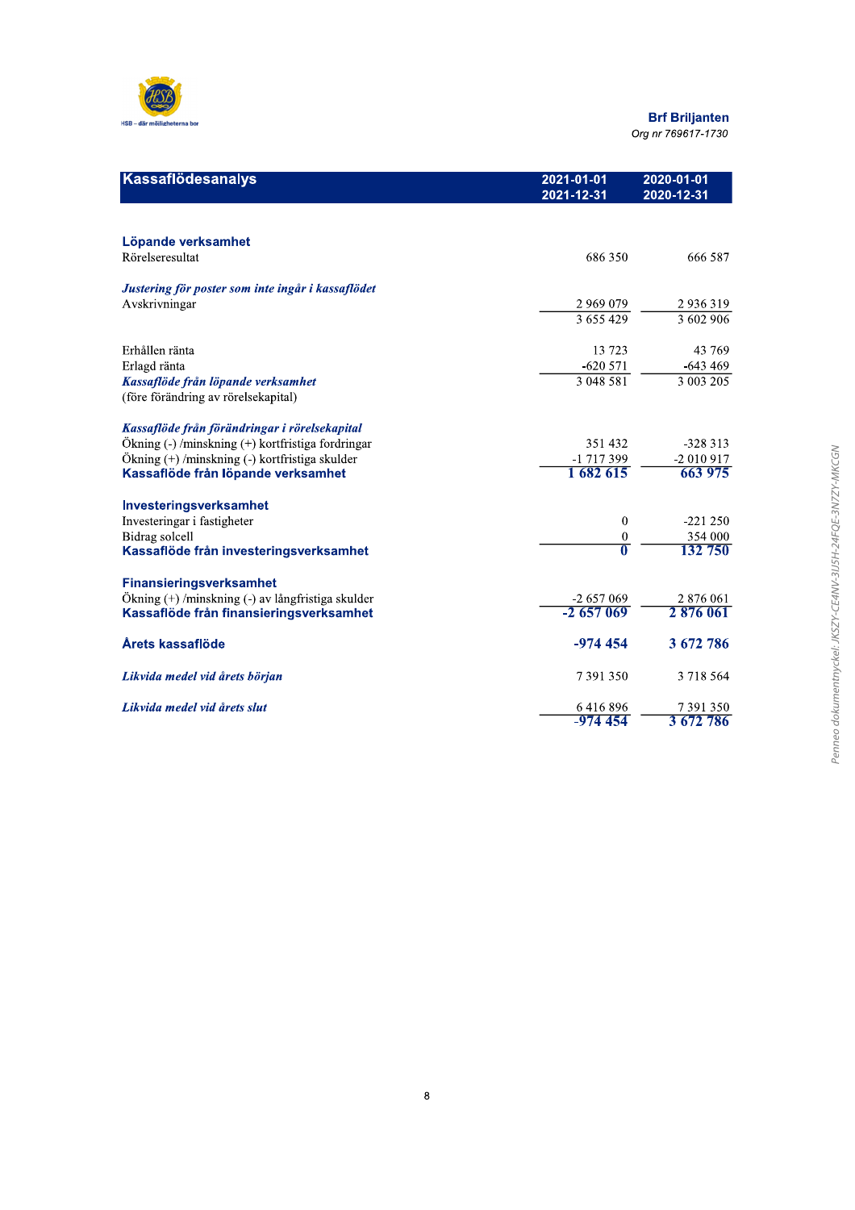

| Kassaflödesanalys                                 | 2021-01-01<br>2021-12-31 | 2020-01-01<br>2020-12-31 |
|---------------------------------------------------|--------------------------|--------------------------|
|                                                   |                          |                          |
| Löpande verksamhet                                |                          |                          |
| Rörelseresultat                                   | 686 350                  | 666 587                  |
| Justering för poster som inte ingår i kassaflödet |                          |                          |
| Avskrivningar                                     | 2 969 079                | 2936319                  |
|                                                   | 3655429                  | 3 602 906                |
| Erhållen ränta                                    | 13 723                   | 43 769                   |
| Erlagd ränta                                      | $-620571$                | $-643469$                |
| Kassaflöde från löpande verksamhet                | 3 048 581                | 3 003 205                |
| (före förändring av rörelsekapital)               |                          |                          |
| Kassaflöde från förändringar i rörelsekapital     |                          |                          |
| Ökning (-)/minskning (+) kortfristiga fordringar  | 351 432                  | $-328313$                |
| Ökning (+) /minskning (-) kortfristiga skulder    | -1 717 399               | $-2010917$               |
| Kassaflöde från löpande verksamhet                | 1 682 615                | 663 975                  |
| Investeringsverksamhet                            |                          |                          |
| Investeringar i fastigheter                       | $\mathbf{0}$             | $-221250$                |
| <b>Bidrag</b> solcell                             | $\bf{0}$                 | 354 000                  |
| Kassaflöde från investeringsverksamhet            | $\overline{\mathbf{0}}$  | 132 750                  |
| <b>Finansieringsverksamhet</b>                    |                          |                          |
| Ökning (+) /minskning (-) av långfristiga skulder | $-2657069$               | 2 876 061                |
| Kassaflöde från finansieringsverksamhet           | $-2657069$               | 2876061                  |
| Årets kassaflöde                                  | $-974454$                | 3 672 786                |
| Likvida medel vid årets början                    | 7391350                  | 3 718 564                |
| Likvida medel vid årets slut                      | 6416896                  | 7391350                  |
|                                                   | $-974454$                | 3 672 786                |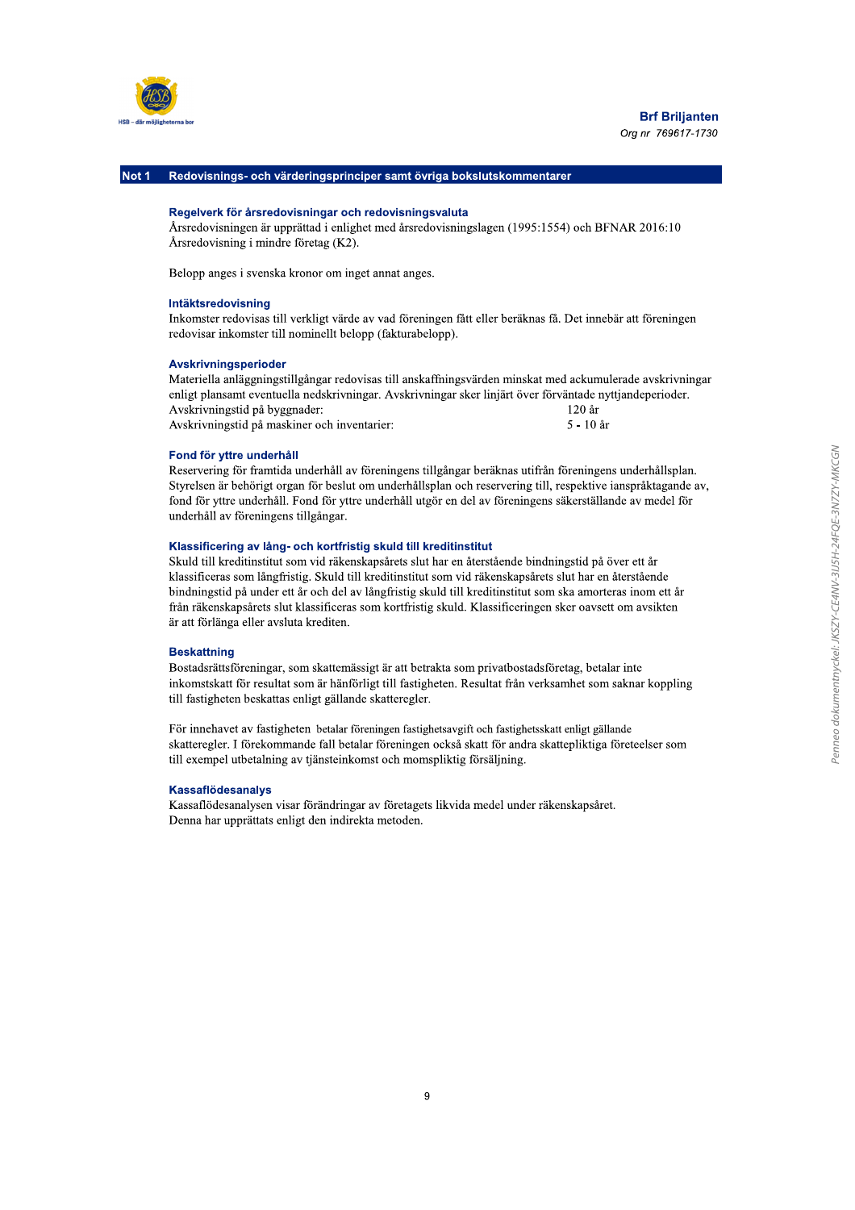

Not 1 Redovisnings- och värderingsprinciper samt övriga bokslutskommentarer

#### Regelverk för årsredovisningar och redovisningsvaluta

Årsredovisningen är upprättad i enlighet med årsredovisningslagen (1995:1554) och BFNAR 2016:10 Årsredovisning i mindre företag (K2).

Belopp anges i svenska kronor om inget annat anges.

#### Intäktsredovisning

Inkomster redovisas till verkligt värde av vad föreningen fått eller beräknas få. Det innebär att föreningen redovisar inkomster till nominellt belopp (fakturabelopp).

#### Avskrivningsperioder

Materiella anläggningstillgångar redovisas till anskaffningsvärden minskat med ackumulerade avskrivningar enligt plansamt eventuella nedskrivningar. Avskrivningar sker linjärt över förväntade nyttjandeperioder. 120 år Avskrivningstid på byggnader: Avskrivningstid på maskiner och inventarier: 5 - 10 år

#### Fond för yttre underhåll

Reservering för framtida underhåll av föreningens tillgångar beräknas utifrån föreningens underhållsplan. Styrelsen är behörigt organ för beslut om underhållsplan och reservering till, respektive ianspråktagande av, fond för vttre underhåll. Fond för vttre underhåll utgör en del av föreningens säkerställande av medel för underhåll av föreningens tillgångar.

#### Klassificering av lång- och kortfristig skuld till kreditinstitut

Skuld till kreditinstitut som vid räkenskapsårets slut har en återstående bindningstid på över ett år klassificeras som långfristig. Skuld till kreditinstitut som vid räkenskapsårets slut har en återstående bindningstid på under ett år och del av långfristig skuld till kreditinstitut som ska amorteras inom ett år från räkenskapsårets slut klassificeras som kortfristig skuld. Klassificeringen sker oavsett om avsikten är att förlänga eller avsluta krediten.

#### **Beskattning**

Bostadsrättsföreningar, som skattemässigt är att betrakta som privatbostadsföretag, betalar inte inkomstskatt för resultat som är hänförligt till fastigheten. Resultat från verksamhet som saknar koppling till fastigheten beskattas enligt gällande skatteregler.

För innehavet av fastigheten betalar föreningen fastighetsavgift och fastighetsskatt enligt gällande skatteregler. I förekommande fall betalar föreningen också skatt för andra skattepliktiga företeelser som till exempel utbetalning av tjänsteinkomst och momspliktig försäljning.

#### **Kassaflödesanalys**

Kassaflödesanalysen visar förändringar av företagets likvida medel under räkenskapsåret. Denna har upprättats enligt den indirekta metoden.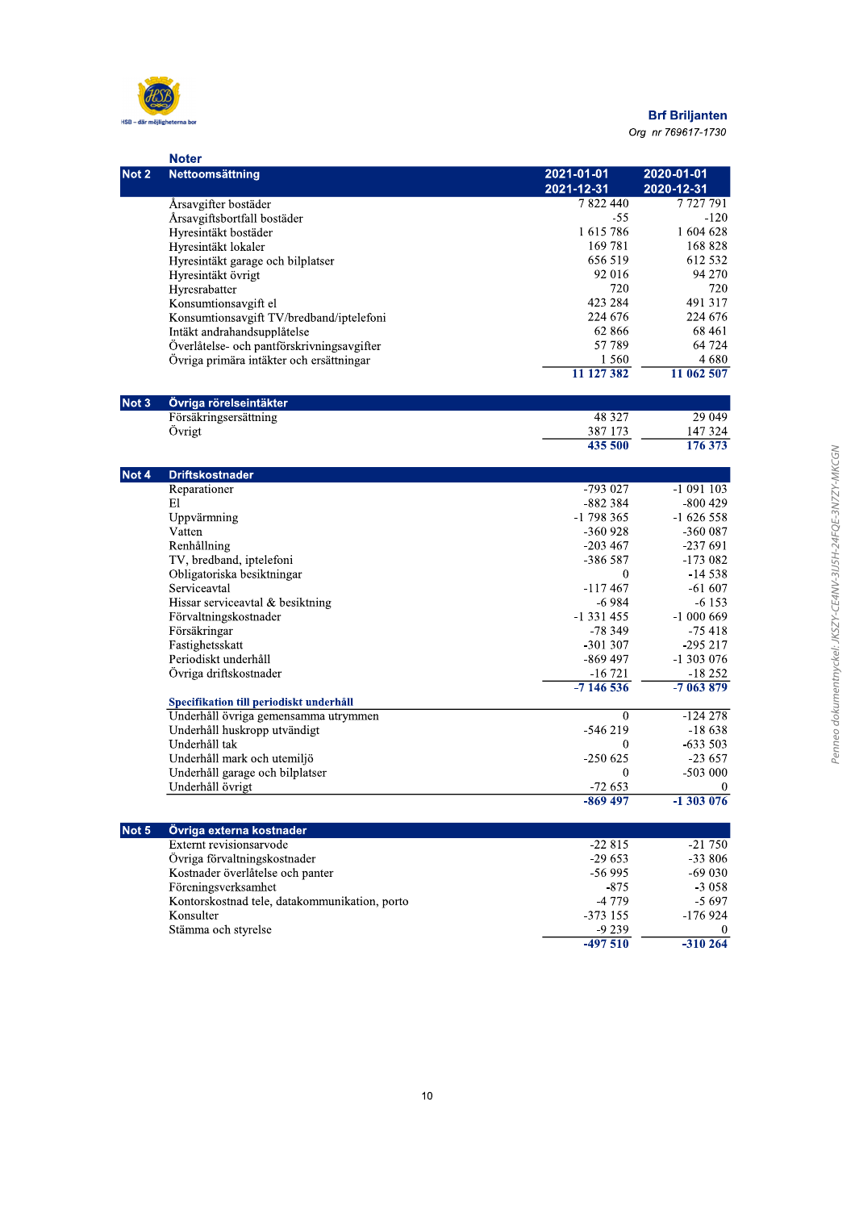

# **Brf Briljanten**

Org nr 769617-1730

|       | <b>Noter</b>                                                                    |              |            |
|-------|---------------------------------------------------------------------------------|--------------|------------|
| Not 2 | Nettoomsättning                                                                 | 2021-01-01   | 2020-01-01 |
|       |                                                                                 | 2021-12-31   | 2020-12-31 |
|       | Årsavgifter bostäder                                                            | 7 822 440    | 7727791    |
|       | Årsavgiftsbortfall bostäder                                                     | $-55$        | $-120$     |
|       | Hyresintäkt bostäder                                                            | 1615786      | 1 604 628  |
|       | Hyresintäkt lokaler                                                             | 169 781      | 168 828    |
|       | Hyresintäkt garage och bilplatser                                               | 656 519      | 612 532    |
|       | Hyresintäkt övrigt                                                              | 92 016       | 94 270     |
|       | Hyresrabatter                                                                   | 720          | 720        |
|       | Konsumtionsavgift el                                                            | 423 284      | 491 317    |
|       | Konsumtionsavgift TV/bredband/iptelefoni                                        | 224 676      | 224 676    |
|       | Intäkt andrahandsupplåtelse                                                     | 62 866       | 68 4 61    |
|       | Överlåtelse- och pantförskrivningsavgifter                                      | 57 789       | 64 724     |
|       | Övriga primära intäkter och ersättningar                                        | 1 5 6 0      | 4 680      |
|       |                                                                                 | 11 127 382   | 11 062 507 |
| Not 3 | Övriga rörelseintäkter                                                          |              |            |
|       | Försäkringsersättning                                                           | 48 3 27      | 29 049     |
|       | Övrigt                                                                          | 387 173      | 147 324    |
|       |                                                                                 | 435 500      | 176 373    |
| Not 4 | <b>Driftskostnader</b>                                                          |              |            |
|       | Reparationer                                                                    | -793 027     | $-1091103$ |
|       | Εl                                                                              | -882 384     | $-800429$  |
|       | Uppvärmning                                                                     | $-1798365$   | $-1626558$ |
|       | Vatten                                                                          | -360 928     | $-360087$  |
|       | Renhållning                                                                     | $-203467$    | $-237691$  |
|       | TV, bredband, iptelefoni                                                        | -386 587     | $-173082$  |
|       | Obligatoriska besiktningar                                                      | $\mathbf{0}$ | $-14538$   |
|       | Serviceavtal                                                                    | -117 467     | $-61607$   |
|       | Hissar serviceavtal & besiktning                                                | $-6984$      | $-6153$    |
|       | Förvaltningskostnader                                                           | -1 331 455   | $-1000669$ |
|       | Försäkringar                                                                    | -78 349      | $-75418$   |
|       | Fastighetsskatt                                                                 | $-301307$    | $-295217$  |
|       | Periodiskt underhåll                                                            | $-869497$    | -1 303 076 |
|       | Övriga driftskostnader                                                          | $-16721$     | $-18252$   |
|       |                                                                                 | $-7146536$   | $-7063879$ |
|       | Specifikation till periodiskt underhåll<br>Underhåll övriga gemensamma utrymmen | $\mathbf{0}$ | $-124278$  |
|       | Underhåll huskropp utvändigt                                                    | -546 219     | $-18638$   |
|       | Underhåll tak                                                                   | $\bf{0}$     | $-633503$  |
|       | Underhåll mark och utemiljö                                                     | -250 625     | $-23657$   |
|       | Underhåll garage och bilplatser                                                 | $\theta$     | $-503000$  |
|       | Underhåll övrigt                                                                | $-72653$     | $\bf{0}$   |
|       |                                                                                 | $-869497$    | $-1303076$ |
|       |                                                                                 |              |            |
| Not 5 | Övriga externa kostnader<br>Externt revisionsarvode                             | $-22815$     | $-21750$   |
|       | Övriga förvaltningskostnader                                                    | $-29653$     | $-33806$   |
|       | Kostnader överlåtelse och panter                                                | $-56995$     | $-69030$   |
|       | Föreningsverksamhet                                                             | $-875$       | $-3058$    |
|       | Kontorskostnad tele, datakommunikation, porto                                   | -4 779       | $-5697$    |
|       | Konsulter                                                                       | $-373$ 155   | $-176924$  |
|       | Stämma och styrelse                                                             | -9 239       |            |
|       |                                                                                 | $-497510$    | $-310264$  |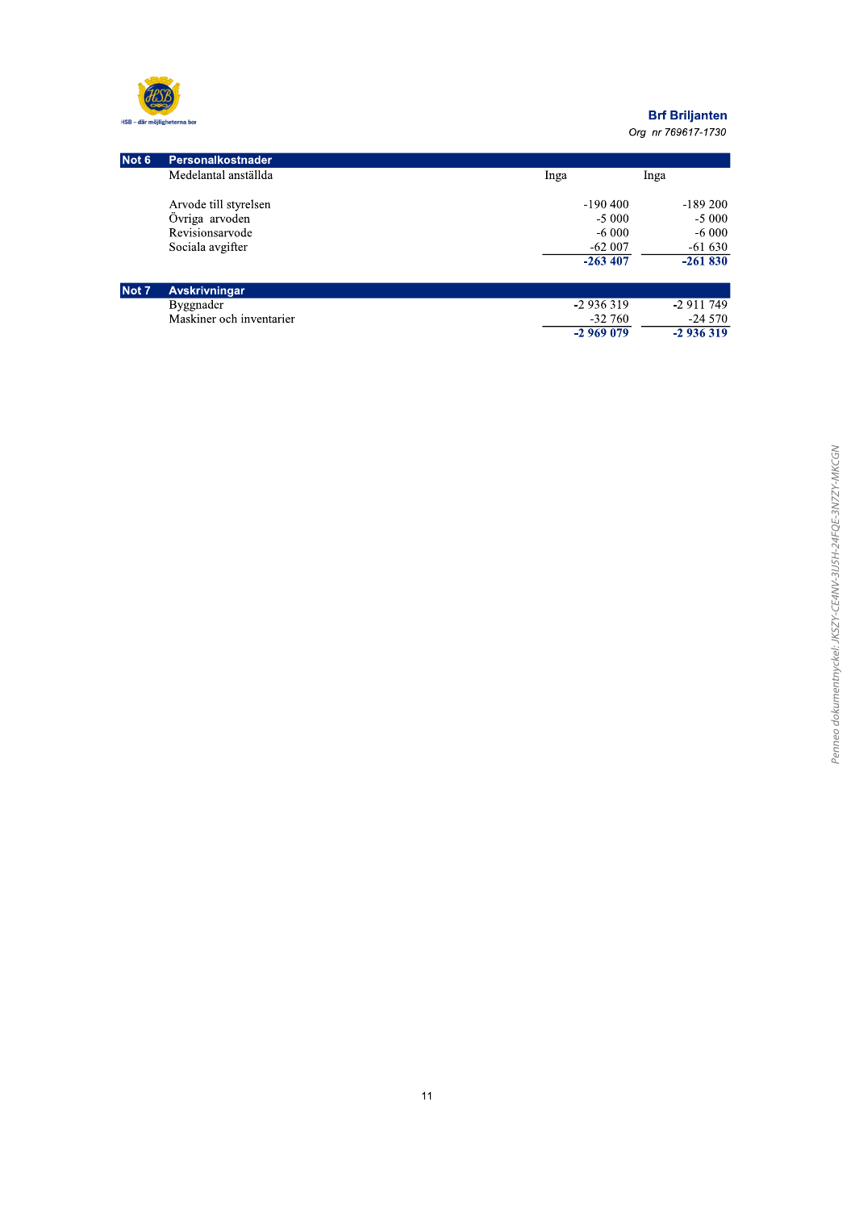

| Not 6 | Personalkostnader        |            |            |
|-------|--------------------------|------------|------------|
|       | Medelantal anställda     | Inga       | Inga       |
|       | Arvode till styrelsen    | $-190400$  | $-189200$  |
|       | Övriga arvoden           | $-5000$    | $-5000$    |
|       | Revisionsarvode          | $-6000$    | $-6000$    |
|       | Sociala avgifter         | $-62007$   | $-61630$   |
|       |                          | $-263407$  | $-261830$  |
| Not 7 | <b>Avskrivningar</b>     |            |            |
|       | Byggnader                | $-2936319$ | -2 911 749 |
|       | Maskiner och inventarier | $-32\,760$ | $-24570$   |
|       |                          | $-2969079$ | $-2936319$ |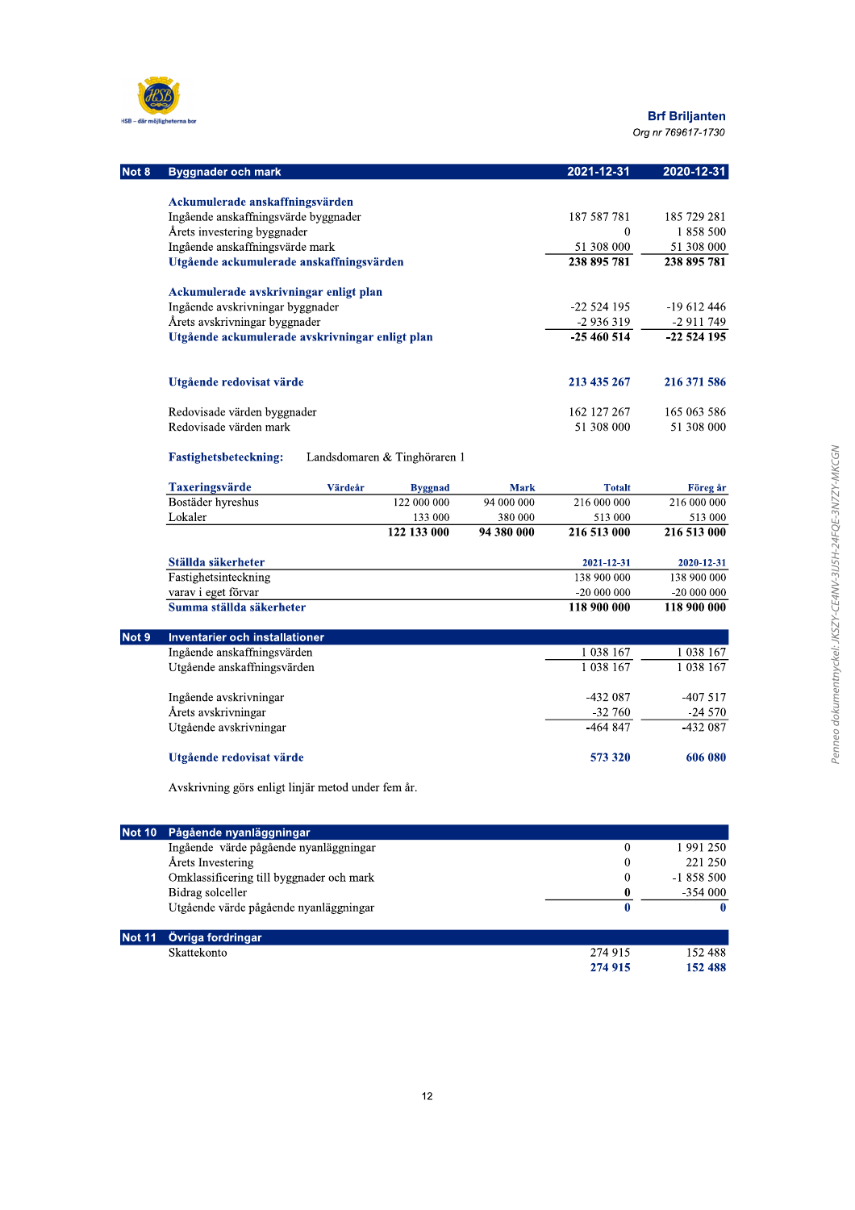

| Not 8 | <b>Byggnader och mark</b>                       |             |                              |             | 2021-12-31    | 2020-12-31  |
|-------|-------------------------------------------------|-------------|------------------------------|-------------|---------------|-------------|
|       |                                                 |             |                              |             |               |             |
|       | Ackumulerade anskaffningsvärden                 |             |                              |             |               |             |
|       | Ingående anskaffningsvärde byggnader            |             |                              |             | 187 587 781   | 185 729 281 |
|       | Årets investering byggnader                     | $\Omega$    | 1858500                      |             |               |             |
|       | Ingående anskaffningsvärde mark                 |             |                              |             | 51 308 000    | 51 308 000  |
|       | Utgående ackumulerade anskaffningsvärden        |             |                              |             | 238 895 781   | 238 895 781 |
|       | Ackumulerade avskrivningar enligt plan          |             |                              |             |               |             |
|       | Ingående avskrivningar byggnader                | $-22524195$ | $-19612446$                  |             |               |             |
|       | Årets avskrivningar byggnader                   |             |                              |             | $-2936319$    | $-2911749$  |
|       | Utgående ackumulerade avskrivningar enligt plan |             |                              |             | $-25460514$   | $-22524195$ |
|       |                                                 |             |                              |             |               |             |
|       | Utgående redovisat värde                        |             |                              |             | 213 435 267   | 216 371 586 |
|       | Redovisade värden byggnader                     |             |                              |             | 162 127 267   | 165 063 586 |
|       | Redovisade värden mark                          |             |                              |             | 51 308 000    | 51 308 000  |
|       | <b>Fastighetsbeteckning:</b>                    |             | Landsdomaren & Tinghöraren 1 |             |               |             |
|       | <b>Taxeringsvärde</b>                           | Värdeår     | <b>Byggnad</b>               | <b>Mark</b> | <b>Totalt</b> | Föreg år    |
|       | Bostäder hyreshus                               |             | 122 000 000                  | 94 000 000  | 216 000 000   | 216 000 000 |
|       | Lokaler                                         |             | 133 000                      | 380 000     | 513 000       | 513 000     |
|       |                                                 |             | 122 133 000                  | 94 380 000  | 216 513 000   | 216 513 000 |
|       | Ställda säkerheter                              |             |                              |             | 2021-12-31    | 2020-12-31  |
|       | Fastighetsinteckning                            |             |                              |             | 138 900 000   | 138 900 000 |
|       | varav i eget förvar                             |             |                              |             | $-20000000$   | $-20000000$ |
|       | Summa ställda säkerheter                        |             |                              |             | 118 900 000   | 118 900 000 |
| Not 9 | <b>Inventarier och installationer</b>           |             |                              |             |               |             |

| u. a | <u>IIIvelitariel och IIIstaliationel</u> |           |               |
|------|------------------------------------------|-----------|---------------|
|      | Ingående anskaffningsvärden              | 1 038 167 | 1 0 3 8 1 6 7 |
|      | Utgående anskaffningsvärden              | 1 038 167 | 1 038 167     |
|      |                                          |           |               |
|      | Ingående avskrivningar                   | -432 087  | -407 517      |
|      | Årets avskrivningar                      | $-32760$  | $-24570$      |
|      | Utgående avskrivningar                   | -464 847  | $-432087$     |
|      | Utgående redovisat värde                 | 573 320   | 606 080       |
|      |                                          |           |               |

Avskrivning görs enligt linjär metod under fem år.

| Not 10        | <u> Pågåe</u> nde nyanläggningar         |         |            |
|---------------|------------------------------------------|---------|------------|
|               | Ingående värde pågående nyanläggningar   | 0       | 1 991 250  |
|               | Årets Investering                        | 0       | 221 250    |
|               | Omklassificering till byggnader och mark | 0       | $-1858500$ |
|               | Bidrag solceller                         | 0       | $-354000$  |
|               | Utgående värde pågående nyanläggningar   | U       |            |
| <b>Not 11</b> | Övriga fordringar                        |         |            |
|               | <b>Skattekonto</b>                       | 274.915 | 152.488    |

| .           |         |             |
|-------------|---------|-------------|
| Skattekonto | 274 915 | 488<br>- 22 |
|             | 274 915 | 152 488     |
|             |         |             |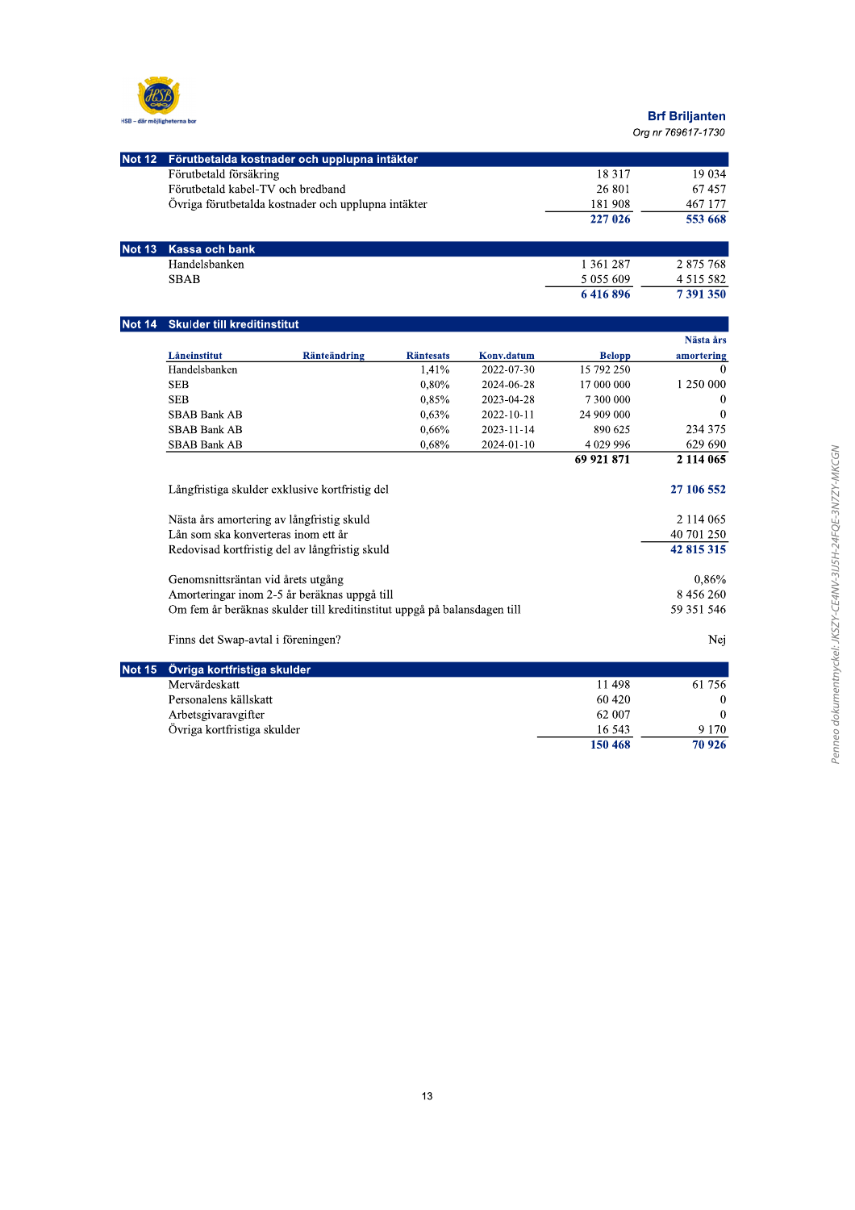

| Not 12 Förutbetalda kostnader och upplupna intäkter |         |         |
|-----------------------------------------------------|---------|---------|
| Förutbetald försäkring                              | 18 3 17 | 19 034  |
| Förutbetald kabel-TV och bredband                   | 26 801  | 67457   |
| Övriga förutbetalda kostnader och upplupna intäkter | 181 908 | 467 177 |
|                                                     | 227 026 | 553 668 |

| Not 13 Kassa och bank |           |               |
|-----------------------|-----------|---------------|
| Handelsbanken         | 1 361 287 | 2 875 768     |
| <b>SBAB</b>           | 5 055 609 | 4 5 1 5 5 8 2 |
|                       | 6416896   | 7 391 350     |

# Not 14 Skulder till kreditinstitut

|                                     |                                                                          |                  |            |               | Nästa års     |
|-------------------------------------|--------------------------------------------------------------------------|------------------|------------|---------------|---------------|
| Låneinstitut                        | <b>Ränteändring</b>                                                      | <b>Räntesats</b> | Konv.datum | <b>Belopp</b> | amortering    |
| Handelsbanken                       |                                                                          | 1,41%            | 2022-07-30 | 15 792 250    | $\Omega$      |
| <b>SEB</b>                          |                                                                          | 0,80%            | 2024-06-28 | 17 000 000    | 1 250 000     |
| <b>SEB</b>                          |                                                                          | 0,85%            | 2023-04-28 | 7 300 000     | $\bf{0}$      |
| <b>SBAB Bank AB</b>                 |                                                                          | 0.63%            | 2022-10-11 | 24 909 000    | $\bf{0}$      |
| <b>SBAB Bank AB</b>                 |                                                                          | $0.66\%$         | 2023-11-14 | 890 625       | 234 375       |
| SBAB Bank AB                        |                                                                          | 0,68%            | 2024-01-10 | 4 0 29 9 9 6  | 629 690       |
|                                     |                                                                          |                  |            | 69 921 871    | 2 114 065     |
|                                     | Långfristiga skulder exklusive kortfristig del                           |                  |            |               | 27 106 552    |
|                                     | Nästa års amortering av långfristig skuld                                |                  |            |               | 2 1 1 4 0 6 5 |
| Lån som ska konverteras inom ett år |                                                                          |                  |            |               | 40 701 250    |
|                                     | Redovisad kortfristig del av långfristig skuld                           |                  |            |               | 42 815 315    |
| Genomsnittsräntan vid årets utgång  |                                                                          |                  |            |               | $0,86\%$      |
|                                     | Amorteringar inom 2-5 år beräknas uppgå till                             |                  |            |               | 8 456 260     |
|                                     | Om fem år beräknas skulder till kreditinstitut uppgå på balansdagen till |                  |            |               | 59 351 546    |
| Finns det Swap-avtal i föreningen?  |                                                                          |                  |            |               | Nej           |
| Övriga kortfristiga skulder         |                                                                          |                  |            |               |               |
| Mervärdeskatt                       |                                                                          |                  |            | 11 498        | 61 756        |

| Not 15 Övriga kortfristiga skulder |         |          |
|------------------------------------|---------|----------|
| Mervärdeskatt                      | 11 498  | 61 756   |
| Personalens källskatt              | 60 4 20 | $\Omega$ |
| Arbetsgivaravgifter                | 62 007  | $\Omega$ |
| Övriga kortfristiga skulder        | 16 543  | 9 1 7 0  |
|                                    | 150 468 | 70 926   |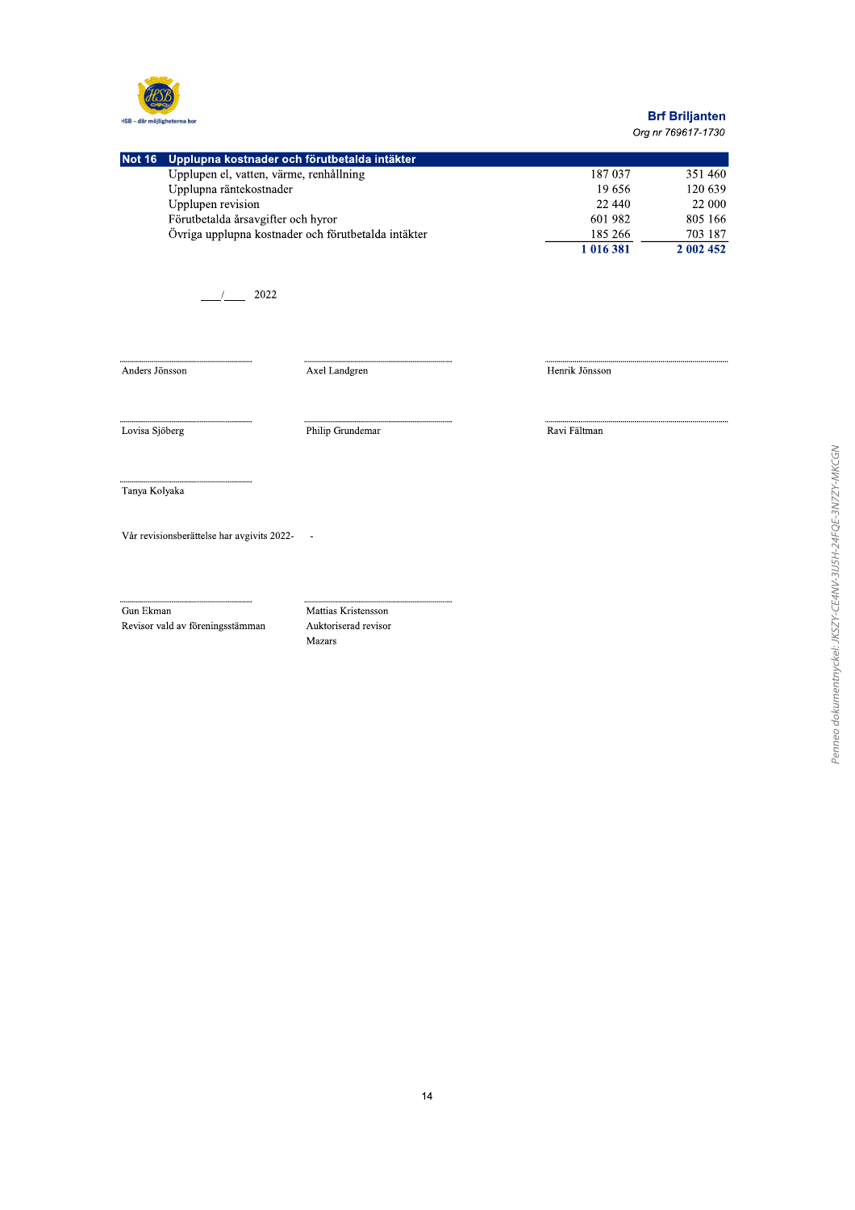

# **Brf Briljanten**

Org nr 769617-1730

|                         | Not 16 Upplupna kostnader och förutbetalda intäkter |           |           |
|-------------------------|-----------------------------------------------------|-----------|-----------|
|                         | Upplupen el, vatten, värme, renhållning             | 187 037   | 351460    |
| Upplupna räntekostnader |                                                     | 19.656    | 120 639   |
| Upplupen revision       |                                                     | 22 440    | 22 000    |
|                         | Förutbetalda årsavgifter och hyror                  | 601 982   | 805 166   |
|                         | Övriga upplupna kostnader och förutbetalda intäkter | 185 266   | 703 187   |
|                         |                                                     | 1 016 381 | 2 002 452 |

 $\frac{1}{2022}$ 

Anders Jönsson

Axel Landgren

Henrik Jönsson

Lovisa Sjöberg

Philip Grundemar

Ravi Fältman

Tanya Kolyaka

Vår revisionsberättelse har avgivits 2022- $\sim$ 

Gun Ekman

Revisor vald av föreningsstämman

Mattias Kristensson Auktoriserad revisor Mazars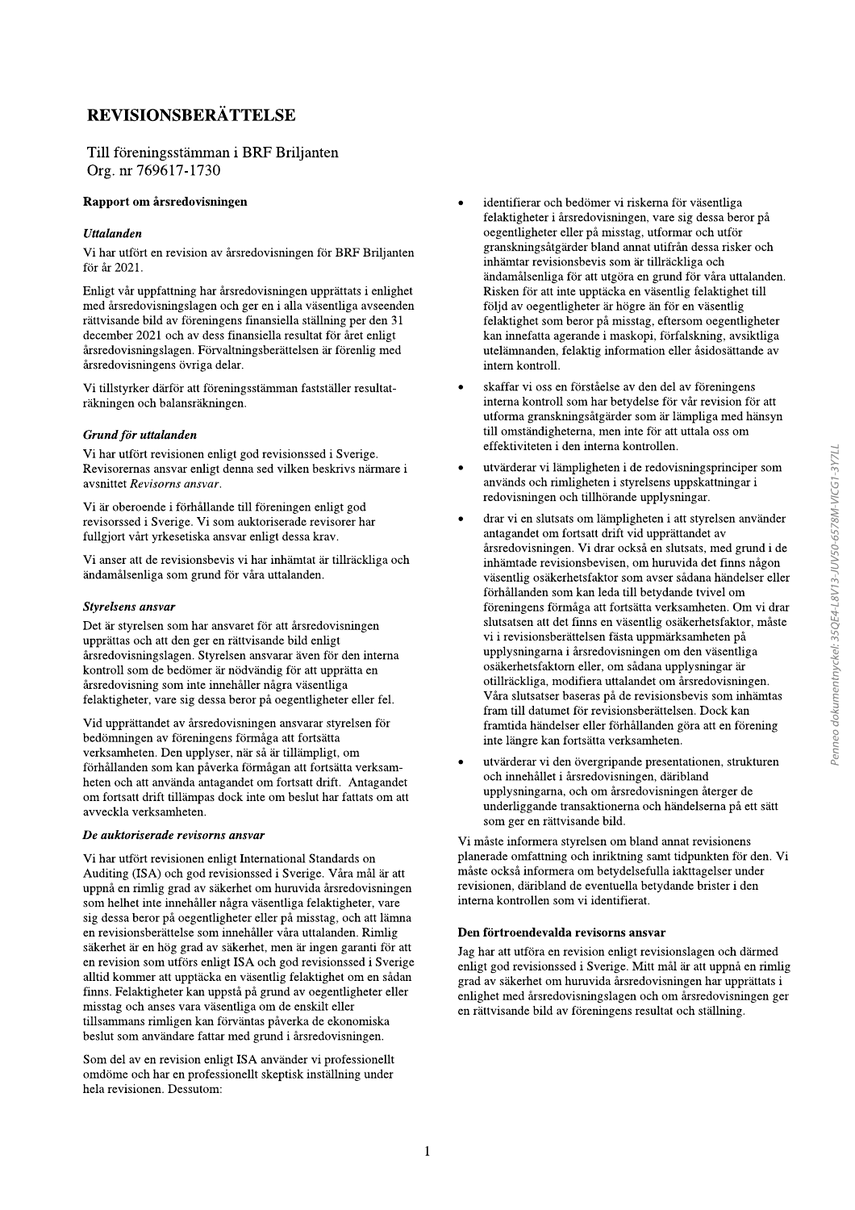# **REVISIONSBERÄTTELSE**

### Till föreningsstämman i BRF Briljanten Org. nr 769617-1730

#### Rapport om årsredovisningen

### **Uttalanden**

Vi har utfört en revision av årsredovisningen för BRF Briljanten för år 2021.

Enligt vår uppfattning har årsredovisningen upprättats i enlighet med årsredovisningslagen och ger en i alla väsentliga avseenden rättvisande bild av föreningens finansiella ställning per den 31 december 2021 och av dess finansiella resultat för året enligt årsredovisningslagen. Förvaltningsberättelsen är förenlig med årsredovisningens övriga delar.

Vi tillstyrker därför att föreningsstämman fastställer resultaträkningen och balansräkningen.

### Grund för uttalanden

Vi har utfört revisionen enligt god revisionssed i Sverige. Revisorernas ansvar enligt denna sed vilken beskrivs närmare i avsnittet Revisorns ansvar.

Vi är oberoende i förhållande till föreningen enligt god revisorssed i Sverige. Vi som auktoriserade revisorer har fullgjort vårt yrkesetiska ansvar enligt dessa krav.

Vi anser att de revisionsbevis vi har inhämtat är tillräckliga och ändamålsenliga som grund för våra uttalanden.

#### **Styrelsens** ansvar

Det är styrelsen som har ansvaret för att årsredovisningen upprättas och att den ger en rättvisande bild enligt årsredovisningslagen. Styrelsen ansvarar även för den interna kontroll som de bedömer är nödvändig för att upprätta en årsredovisning som inte innehåller några väsentliga felaktigheter, vare sig dessa beror på oegentligheter eller fel.

Vid upprättandet av årsredovisningen ansvarar styrelsen för bedömningen av föreningens förmåga att fortsätta verksamheten. Den upplyser, när så är tillämpligt, om förhållanden som kan påverka förmågan att fortsätta verksamheten och att använda antagandet om fortsatt drift. Antagandet om fortsatt drift tillämpas dock inte om beslut har fattats om att avveckla verksamheten.

#### De auktoriserade revisorns ansvar

Vi har utfört revisionen enligt International Standards on Auditing (ISA) och god revisionssed i Sverige. Våra mål är att uppnå en rimlig grad av säkerhet om huruvida årsredovisningen som helhet inte innehåller några väsentliga felaktigheter, vare sig dessa beror på oegentligheter eller på misstag, och att lämna en revisionsberättelse som innehåller våra uttalanden. Rimlig säkerhet är en hög grad av säkerhet, men är ingen garanti för att en revision som utförs enligt ISA och god revisionssed i Sverige alltid kommer att upptäcka en väsentlig felaktighet om en sådan finns. Felaktigheter kan uppstå på grund av oegentligheter eller misstag och anses vara väsentliga om de enskilt eller tillsammans rimligen kan förväntas påverka de ekonomiska beslut som användare fattar med grund i årsredovisningen.

Som del av en revision enligt ISA använder vi professionellt omdöme och har en professionellt skeptisk inställning under hela revisionen. Dessutom:

- identifierar och bedömer vi riskerna för väsentliga felaktigheter i årsredovisningen, vare sig dessa beror på oegentligheter eller på misstag, utformar och utför granskningsåtgärder bland annat utifrån dessa risker och inhämtar revisionsbevis som är tillräckliga och ändamålsenliga för att utgöra en grund för våra uttalanden. Risken för att inte upptäcka en väsentlig felaktighet till följd av oegentligheter är högre än för en väsentlig felaktighet som beror på misstag, eftersom oegentligheter kan innefatta agerande i maskopi, förfalskning, avsiktliga utelämnanden, felaktig information eller åsidosättande av intern kontroll.
- skaffar vi oss en förståelse av den del av föreningens interna kontroll som har betydelse för vår revision för att utforma granskningsåtgärder som är lämpliga med hänsyn till omständigheterna, men inte för att uttala oss om effektiviteten i den interna kontrollen.
- utvärderar vi lämpligheten i de redovisningsprinciper som används och rimligheten i styrelsens uppskattningar i redovisningen och tillhörande upplysningar.
- drar vi en slutsats om lämpligheten i att styrelsen använder antagandet om fortsatt drift vid upprättandet av årsredovisningen. Vi drar också en slutsats, med grund i de inhämtade revisionsbevisen, om huruvida det finns någon väsentlig osäkerhetsfaktor som avser sådana händelser eller förhållanden som kan leda till betydande tvivel om föreningens förmåga att fortsätta verksamheten. Om vi drar slutsatsen att det finns en väsentlig osäkerhetsfaktor, måste vi i revisionsberättelsen fästa uppmärksamheten på upplysningarna i årsredovisningen om den väsentliga osäkerhetsfaktorn eller, om sådana upplysningar är otillräckliga, modifiera uttalandet om årsredovisningen. Våra slutsatser baseras på de revisionsbevis som inhämtas fram till datumet för revisionsberättelsen. Dock kan framtida händelser eller förhållanden göra att en förening inte längre kan fortsätta verksamheten.
- utvärderar vi den övergripande presentationen, strukturen och innehållet i årsredovisningen, däribland upplysningarna, och om årsredovisningen återger de underliggande transaktionerna och händelserna på ett sätt som ger en rättvisande bild.

Vi måste informera styrelsen om bland annat revisionens planerade omfattning och inriktning samt tidpunkten för den. Vi måste också informera om betydelsefulla iakttagelser under revisionen, däribland de eventuella betydande brister i den interna kontrollen som vi identifierat.

### Den förtroendevalda revisorns ansvar

Jag har att utföra en revision enligt revisionslagen och därmed enligt god revisionssed i Sverige. Mitt mål är att uppnå en rimlig grad av säkerhet om huruvida årsredovisningen har upprättats i enlighet med årsredovisningslagen och om årsredovisningen ger en rättvisande bild av föreningens resultat och ställning.